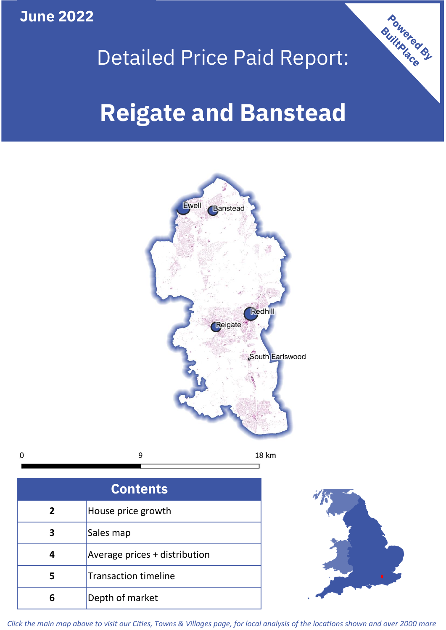**June 2022**



# Detailed Price Paid Report:

# **Reigate and Banstead**



9  $\mathbf 0$ 18 km

| <b>Contents</b> |                               |  |  |
|-----------------|-------------------------------|--|--|
| $\overline{2}$  | House price growth            |  |  |
| 3               | Sales map                     |  |  |
|                 | Average prices + distribution |  |  |
| 5               | <b>Transaction timeline</b>   |  |  |
|                 | Depth of market               |  |  |



*Click the main map above to visit our Cities, Towns & Villages page, for local analysis of the locations shown and over 2000 more*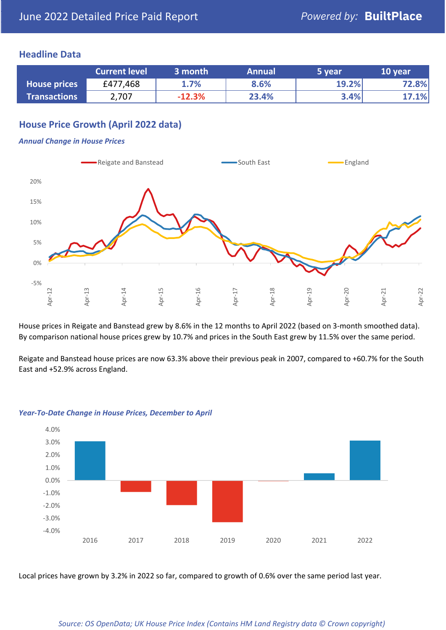#### **Headline Data**

|                     | <b>Current level</b> | 3 month  | <b>Annual</b> | 5 year | 10 year |
|---------------------|----------------------|----------|---------------|--------|---------|
| <b>House prices</b> | £477,468             | 1.7%     | 8.6%          | 19.2%  | 72.8%   |
| <b>Transactions</b> | 2,707                | $-12.3%$ | 23.4%         | 3.4%   | 17.1%   |

# **House Price Growth (April 2022 data)**

#### *Annual Change in House Prices*



House prices in Reigate and Banstead grew by 8.6% in the 12 months to April 2022 (based on 3-month smoothed data). By comparison national house prices grew by 10.7% and prices in the South East grew by 11.5% over the same period.

Reigate and Banstead house prices are now 63.3% above their previous peak in 2007, compared to +60.7% for the South East and +52.9% across England.



#### *Year-To-Date Change in House Prices, December to April*

Local prices have grown by 3.2% in 2022 so far, compared to growth of 0.6% over the same period last year.

#### *Source: OS OpenData; UK House Price Index (Contains HM Land Registry data © Crown copyright)*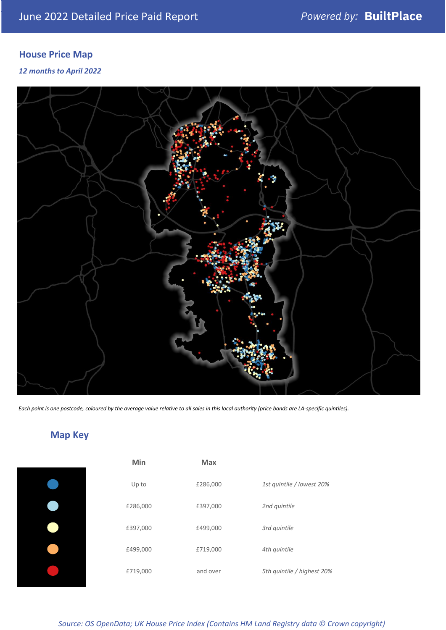# **House Price Map**

*12 months to April 2022*



*Each point is one postcode, coloured by the average value relative to all sales in this local authority (price bands are LA-specific quintiles).*

# **Map Key**

|  | £ |
|--|---|
|  | £ |
|  | £ |
|  | £ |
|  |   |

| Min      | <b>Max</b> |                            |
|----------|------------|----------------------------|
| Up to    | £286,000   | 1st quintile / lowest 20%  |
| £286,000 | £397,000   | 2nd quintile               |
| £397,000 | £499,000   | 3rd quintile               |
| £499,000 | £719,000   | 4th quintile               |
| £719,000 | and over   | 5th quintile / highest 20% |

*Source: OS OpenData; UK House Price Index (Contains HM Land Registry data © Crown copyright)*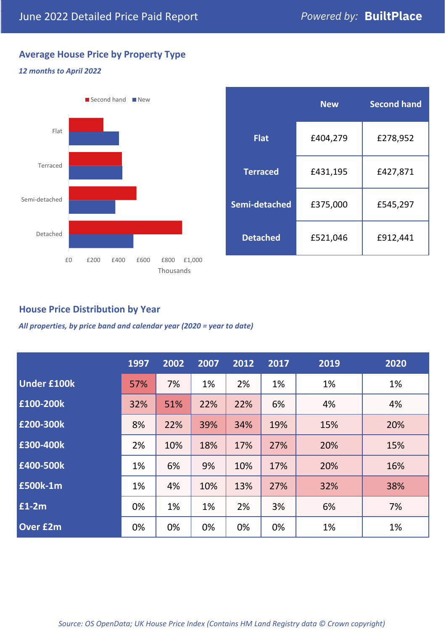# **Average House Price by Property Type**

#### *12 months to April 2022*



|                 | <b>New</b> | <b>Second hand</b> |  |  |
|-----------------|------------|--------------------|--|--|
| <b>Flat</b>     | £404,279   | £278,952           |  |  |
| <b>Terraced</b> | £431,195   | £427,871           |  |  |
| Semi-detached   | £375,000   | £545,297           |  |  |
| <b>Detached</b> | £521,046   | £912,441           |  |  |

# **House Price Distribution by Year**

*All properties, by price band and calendar year (2020 = year to date)*

|                    | 1997 | 2002 | 2007 | 2012 | 2017 | 2019 | 2020 |
|--------------------|------|------|------|------|------|------|------|
| <b>Under £100k</b> | 57%  | 7%   | 1%   | 2%   | 1%   | 1%   | 1%   |
| £100-200k          | 32%  | 51%  | 22%  | 22%  | 6%   | 4%   | 4%   |
| £200-300k          | 8%   | 22%  | 39%  | 34%  | 19%  | 15%  | 20%  |
| E300-400k          | 2%   | 10%  | 18%  | 17%  | 27%  | 20%  | 15%  |
| E400-500k          | 1%   | 6%   | 9%   | 10%  | 17%  | 20%  | 16%  |
| £500k-1m           | 1%   | 4%   | 10%  | 13%  | 27%  | 32%  | 38%  |
| £1-2m              | 0%   | 1%   | 1%   | 2%   | 3%   | 6%   | 7%   |
| <b>Over £2m</b>    | 0%   | 0%   | 0%   | 0%   | 0%   | 1%   | 1%   |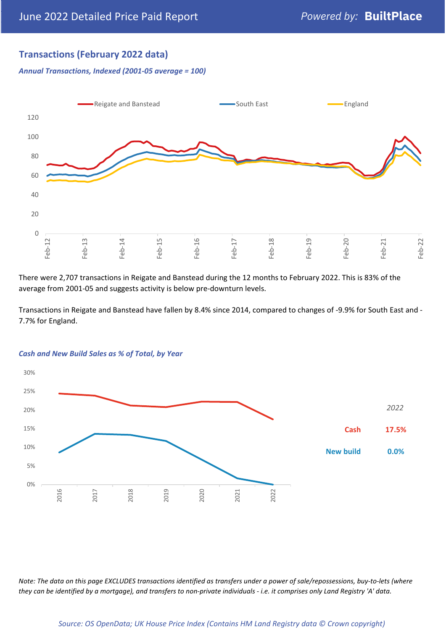# **Transactions (February 2022 data)**

*Annual Transactions, Indexed (2001-05 average = 100)*



There were 2,707 transactions in Reigate and Banstead during the 12 months to February 2022. This is 83% of the average from 2001-05 and suggests activity is below pre-downturn levels.

Transactions in Reigate and Banstead have fallen by 8.4% since 2014, compared to changes of -9.9% for South East and - 7.7% for England.



#### *Cash and New Build Sales as % of Total, by Year*

*Note: The data on this page EXCLUDES transactions identified as transfers under a power of sale/repossessions, buy-to-lets (where they can be identified by a mortgage), and transfers to non-private individuals - i.e. it comprises only Land Registry 'A' data.*